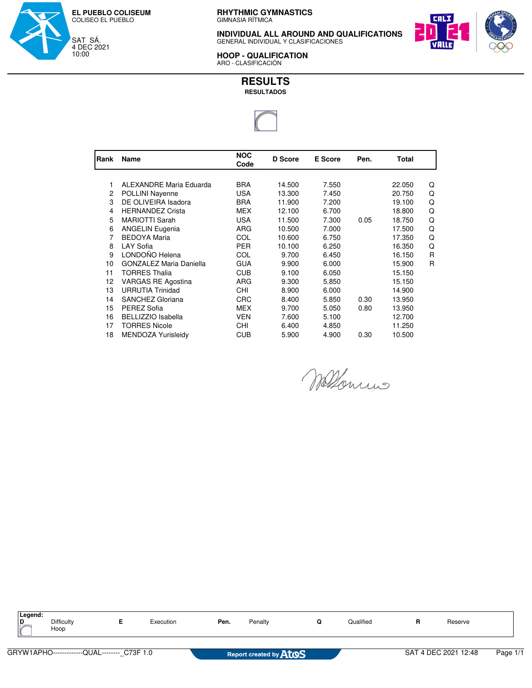

**INDIVIDUAL ALL AROUND AND QUALIFICATIONS** GENERAL INDIVIDUAL Y CLASIFICACIONES



**HOOP - QUALIFICATION**<br>ARO - CLASIFICACIÓN



| Rank | Name                      | <b>NOC</b><br>Code | <b>D</b> Score | <b>E</b> Score<br>Pen. |      | Total  |              |
|------|---------------------------|--------------------|----------------|------------------------|------|--------|--------------|
|      |                           |                    |                |                        |      |        |              |
| 1    | ALEXANDRE Maria Eduarda   | <b>BRA</b>         | 14.500         | 7.550                  |      | 22.050 | Q            |
| 2    | POLLINI Nayenne           | <b>USA</b>         | 13.300         | 7.450                  |      | 20.750 | Q            |
| 3    | DE OLIVEIRA Isadora       | <b>BRA</b>         | 11.900         | 7.200                  |      | 19.100 | Q            |
| 4    | <b>HERNANDEZ Crista</b>   | <b>MEX</b>         | 12.100         | 6.700                  |      | 18.800 | Q            |
| 5    | <b>MARIOTTI Sarah</b>     | <b>USA</b>         | 11.500         | 7.300                  | 0.05 | 18.750 | Q            |
| 6    | <b>ANGELIN Eugenia</b>    | ARG                | 10.500         | 7.000                  |      | 17.500 | Q            |
| 7    | <b>BEDOYA Maria</b>       | COL                | 10.600         | 6.750                  |      | 17.350 | Q            |
| 8    | LAY Sofia                 | <b>PER</b>         | 10.100         | 6.250                  |      | 16.350 | Q            |
| 9    | LONDOÑO Helena            | COL                | 9.700          | 6.450                  |      | 16.150 | R            |
| 10   | GONZALEZ Maria Daniella   | <b>GUA</b>         | 9.900          | 6.000                  |      | 15.900 | $\mathsf{R}$ |
| 11   | <b>TORRES Thalia</b>      | CUB                | 9.100          | 6.050                  |      | 15.150 |              |
| 12   | <b>VARGAS RE Agostina</b> | ARG                | 9.300          | 5.850                  |      | 15.150 |              |
| 13   | <b>URRUTIA Trinidad</b>   | CHI                | 8.900          | 6.000                  |      | 14.900 |              |
| 14   | SANCHEZ Gloriana          | <b>CRC</b>         | 8.400          | 5.850                  | 0.30 | 13.950 |              |
| 15   | PEREZ Sofia               | <b>MEX</b>         | 9.700          | 5.050                  | 0.80 | 13.950 |              |
| 16   | <b>BELLIZZIO Isabella</b> | <b>VEN</b>         | 7.600          | 5.100                  |      | 12.700 |              |
| 17   | <b>TORRES Nicole</b>      | CHI                | 6.400          | 4.850                  |      | 11.250 |              |
| 18   | MENDOZA Yurisleidy        | CUB                | 5.900          | 4.900                  | 0.30 | 10.500 |              |

Wallenrin

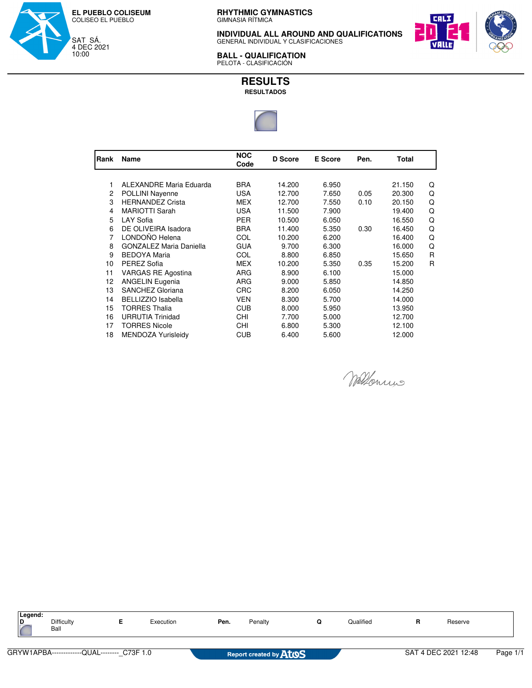

**INDIVIDUAL ALL AROUND AND QUALIFICATIONS** GENERAL INDIVIDUAL Y CLASIFICACIONES



**BALL - QUALIFICATION** PELOTA - CLASIFICACIÓN



| Rank | Name                           | <b>NOC</b><br>Code | <b>D</b> Score | <b>E</b> Score | Pen. | Total  |   |
|------|--------------------------------|--------------------|----------------|----------------|------|--------|---|
|      |                                |                    |                |                |      |        |   |
|      | ALEXANDRE Maria Eduarda        | <b>BRA</b>         | 14.200         | 6.950          |      | 21.150 | Q |
| 2    | POLLINI Nayenne                | <b>USA</b>         | 12.700         | 7.650          | 0.05 | 20.300 | Q |
| 3    | <b>HERNANDEZ Crista</b>        | MEX                | 12.700         | 7.550          | 0.10 | 20.150 | Q |
| 4    | <b>MARIOTTI Sarah</b>          | <b>USA</b>         | 11.500         | 7.900          |      | 19.400 | Q |
| 5    | <b>LAY Sofia</b>               | <b>PER</b>         | 10.500         | 6.050          |      | 16.550 | Q |
| 6    | DE OLIVEIRA Isadora            | <b>BRA</b>         | 11.400         | 5.350          | 0.30 | 16.450 | Q |
| 7    | LONDOÑO Helena                 | COL                | 10.200         | 6.200          |      | 16.400 | Q |
| 8    | <b>GONZALEZ Maria Daniella</b> | <b>GUA</b>         | 9.700          | 6.300          |      | 16.000 | Q |
| 9    | <b>BEDOYA Maria</b>            | COL                | 8.800          | 6.850          |      | 15.650 | R |
| 10   | PEREZ Sofia                    | <b>MEX</b>         | 10.200         | 5.350          | 0.35 | 15.200 | R |
| 11   | VARGAS RE Agostina             | ARG                | 8.900          | 6.100          |      | 15.000 |   |
| 12   | <b>ANGELIN Eugenia</b>         | ARG                | 9.000          | 5.850          |      | 14.850 |   |
| 13   | SANCHEZ Gloriana               | <b>CRC</b>         | 8.200          | 6.050          |      | 14.250 |   |
| 14   | <b>BELLIZZIO Isabella</b>      | <b>VEN</b>         | 8.300          | 5.700          |      | 14.000 |   |
| 15   | <b>TORRES Thalia</b>           | CUB                | 8.000          | 5.950          |      | 13.950 |   |
| 16   | <b>URRUTIA Trinidad</b>        | <b>CHI</b>         | 7.700          | 5.000          |      | 12.700 |   |
| 17   | <b>TORRES Nicole</b>           | CHI                | 6.800          | 5.300          |      | 12.100 |   |
| 18   | MENDOZA Yurisleidy             | CUB                | 6.400          | 5.600          |      | 12.000 |   |

Wellowin

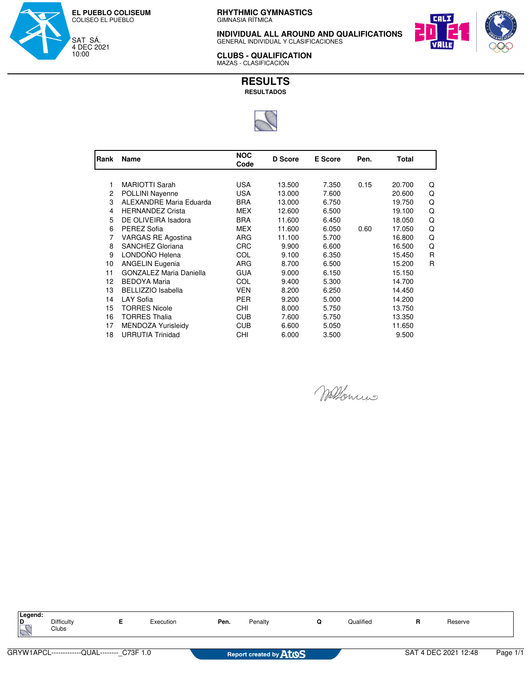

**INDIVIDUAL ALL AROUND AND QUALIFICATIONS** GENERAL INDIVIDUAL Y CLASIFICACIONES



**CLUBS - QUALIFICATION** MAZAS - CLASIFICACIÓN



| Rank | Name                           | <b>NOC</b><br>Code | <b>D</b> Score | <b>E</b> Score | Pen. | Total  |   |
|------|--------------------------------|--------------------|----------------|----------------|------|--------|---|
|      |                                |                    |                |                |      |        |   |
| 1    | <b>MARIOTTI Sarah</b>          | USA                | 13.500         | 7.350          | 0.15 | 20.700 | Q |
| 2    | <b>POLLINI Nayenne</b>         | <b>USA</b>         | 13.000         | 7.600          |      | 20.600 | Q |
| 3    | ALEXANDRE Maria Eduarda        | BRA                | 13.000         | 6.750          |      | 19.750 | Q |
| 4    | <b>HERNANDEZ Crista</b>        | <b>MEX</b>         | 12.600         | 6.500          |      | 19.100 | Q |
| 5    | DE OLIVEIRA Isadora            | <b>BRA</b>         | 11.600         | 6.450          |      | 18.050 | Q |
| 6    | PEREZ Sofia                    | <b>MEX</b>         | 11.600         | 6.050          | 0.60 | 17.050 | Q |
| 7    | <b>VARGAS RE Agostina</b>      | ARG                | 11.100         | 5.700          |      | 16.800 | Q |
| 8    | SANCHEZ Gloriana               | <b>CRC</b>         | 9.900          | 6.600          |      | 16.500 | Q |
| 9    | LONDOÑO Helena                 | COL                | 9.100          | 6.350          |      | 15.450 | R |
| 10   | <b>ANGELIN Eugenia</b>         | <b>ARG</b>         | 8.700          | 6.500          |      | 15.200 | R |
| 11   | <b>GONZALEZ Maria Daniella</b> | <b>GUA</b>         | 9.000          | 6.150          |      | 15.150 |   |
| 12   | <b>BEDOYA Maria</b>            | COL                | 9.400          | 5.300          |      | 14.700 |   |
| 13   | <b>BELLIZZIO Isabella</b>      | <b>VEN</b>         | 8.200          | 6.250          |      | 14.450 |   |
| 14   | <b>LAY Sofia</b>               | <b>PER</b>         | 9.200          | 5.000          |      | 14.200 |   |
| 15   | <b>TORRES Nicole</b>           | CHI.               | 8.000          | 5.750          |      | 13.750 |   |
| 16   | TORRES Thalia                  | <b>CUB</b>         | 7.600          | 5.750          |      | 13.350 |   |
| 17   | MENDOZA Yurisleidy             | <b>CUB</b>         | 6.600          | 5.050          |      | 11.650 |   |
| 18   | <b>URRUTIA Trinidad</b>        | CHI                | 6.000          | 3.500          |      | 9.500  |   |

Wellowins

| Legend:<br><u>ID</u> | Difficulty<br>Clubs                         | Execution | Pen. | Penalty                | Qualified | Reserve              |          |
|----------------------|---------------------------------------------|-----------|------|------------------------|-----------|----------------------|----------|
|                      | GRYW1APCL-------------QUAL-------- C73F 1.0 |           |      | Report created by AtoS |           | SAT 4 DEC 2021 12:48 | Page 1/1 |